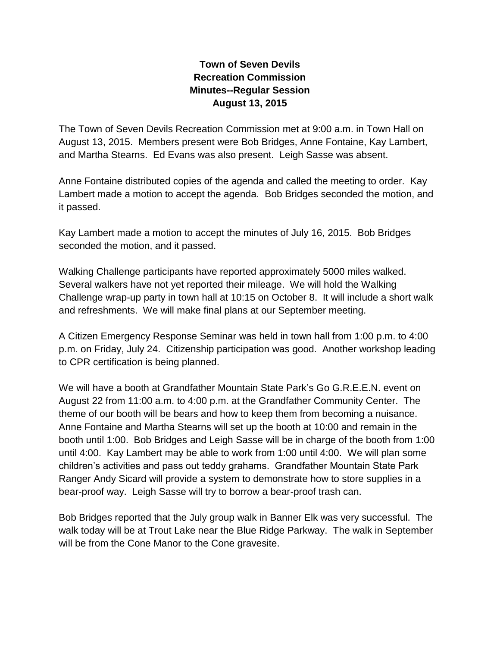## **Town of Seven Devils Recreation Commission Minutes--Regular Session August 13, 2015**

The Town of Seven Devils Recreation Commission met at 9:00 a.m. in Town Hall on August 13, 2015. Members present were Bob Bridges, Anne Fontaine, Kay Lambert, and Martha Stearns. Ed Evans was also present. Leigh Sasse was absent.

Anne Fontaine distributed copies of the agenda and called the meeting to order. Kay Lambert made a motion to accept the agenda. Bob Bridges seconded the motion, and it passed.

Kay Lambert made a motion to accept the minutes of July 16, 2015. Bob Bridges seconded the motion, and it passed.

Walking Challenge participants have reported approximately 5000 miles walked. Several walkers have not yet reported their mileage. We will hold the Walking Challenge wrap-up party in town hall at 10:15 on October 8. It will include a short walk and refreshments. We will make final plans at our September meeting.

A Citizen Emergency Response Seminar was held in town hall from 1:00 p.m. to 4:00 p.m. on Friday, July 24. Citizenship participation was good. Another workshop leading to CPR certification is being planned.

We will have a booth at Grandfather Mountain State Park's Go G.R.E.E.N. event on August 22 from 11:00 a.m. to 4:00 p.m. at the Grandfather Community Center. The theme of our booth will be bears and how to keep them from becoming a nuisance. Anne Fontaine and Martha Stearns will set up the booth at 10:00 and remain in the booth until 1:00. Bob Bridges and Leigh Sasse will be in charge of the booth from 1:00 until 4:00. Kay Lambert may be able to work from 1:00 until 4:00. We will plan some children's activities and pass out teddy grahams. Grandfather Mountain State Park Ranger Andy Sicard will provide a system to demonstrate how to store supplies in a bear-proof way. Leigh Sasse will try to borrow a bear-proof trash can.

Bob Bridges reported that the July group walk in Banner Elk was very successful. The walk today will be at Trout Lake near the Blue Ridge Parkway. The walk in September will be from the Cone Manor to the Cone gravesite.